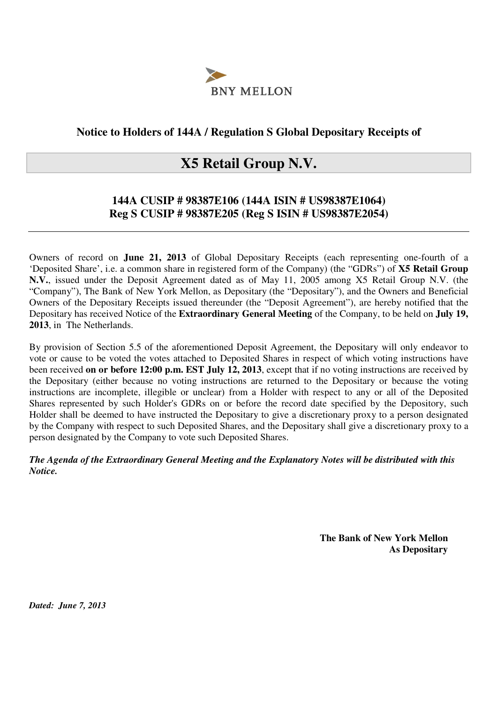

### **Notice to Holders of 144A / Regulation S Global Depositary Receipts of**

## **X5 Retail Group N.V.**

### **144A CUSIP # 98387E106 (144A ISIN # US98387E1064) Reg S CUSIP # 98387E205 (Reg S ISIN # US98387E2054)**

Owners of record on **June 21, 2013** of Global Depositary Receipts (each representing one-fourth of a 'Deposited Share', i.e. a common share in registered form of the Company) (the "GDRs") of **X5 Retail Group N.V.**, issued under the Deposit Agreement dated as of May 11, 2005 among X5 Retail Group N.V. (the "Company"), The Bank of New York Mellon, as Depositary (the "Depositary"), and the Owners and Beneficial Owners of the Depositary Receipts issued thereunder (the "Deposit Agreement"), are hereby notified that the Depositary has received Notice of the **Extraordinary General Meeting** of the Company, to be held on **July 19, 2013**, in The Netherlands.

By provision of Section 5.5 of the aforementioned Deposit Agreement, the Depositary will only endeavor to vote or cause to be voted the votes attached to Deposited Shares in respect of which voting instructions have been received **on or before 12:00 p.m. EST July 12, 2013**, except that if no voting instructions are received by the Depositary (either because no voting instructions are returned to the Depositary or because the voting instructions are incomplete, illegible or unclear) from a Holder with respect to any or all of the Deposited Shares represented by such Holder's GDRs on or before the record date specified by the Depository, such Holder shall be deemed to have instructed the Depositary to give a discretionary proxy to a person designated by the Company with respect to such Deposited Shares, and the Depositary shall give a discretionary proxy to a person designated by the Company to vote such Deposited Shares.

*The Agenda of the Extraordinary General Meeting and the Explanatory Notes will be distributed with this Notice.* 

> **The Bank of New York Mellon As Depositary**

*Dated: June 7, 2013*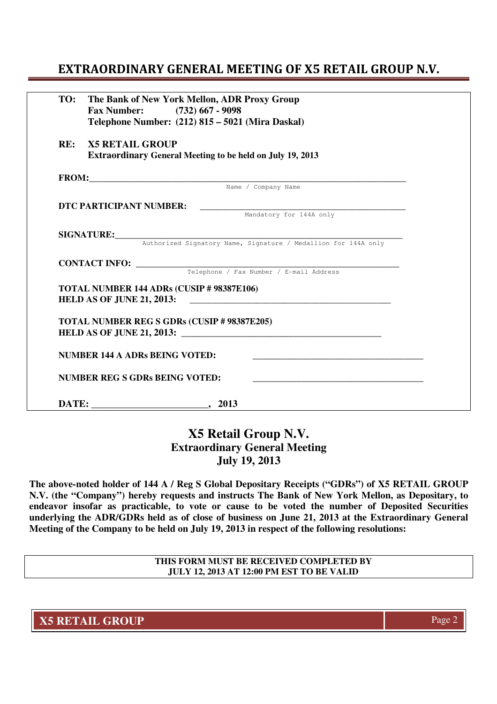## EXTRAORDINARY GENERAL MEETING OF X5 RETAIL GROUP N.V.

| TO: | The Bank of New York Mellon, ADR Proxy Group<br>Fax Number: (732) 667 - 9098<br>Telephone Number: (212) 815 - 5021 (Mira Daskal) |  |
|-----|----------------------------------------------------------------------------------------------------------------------------------|--|
| RE: | <b>X5 RETAIL GROUP</b><br><b>Extraordinary General Meeting to be held on July 19, 2013</b>                                       |  |
|     | FROM: Name / Company Name                                                                                                        |  |
|     |                                                                                                                                  |  |
|     | DTC PARTICIPANT NUMBER:<br>Mandatory for 144A only                                                                               |  |
|     |                                                                                                                                  |  |
|     |                                                                                                                                  |  |
|     | SIGNATURE: Authorized Signatory Name, Signature / Medallion for 144A only                                                        |  |
|     |                                                                                                                                  |  |
|     |                                                                                                                                  |  |
|     | TOTAL NUMBER 144 ADRs (CUSIP # 98387E106)                                                                                        |  |
|     | <b>TOTAL NUMBER REG S GDRs (CUSIP # 98387E205)</b>                                                                               |  |
|     | <b>NUMBER 144 A ADRs BEING VOTED:</b>                                                                                            |  |
|     | <b>NUMBER REG S GDRs BEING VOTED:</b>                                                                                            |  |
|     | $-$ , 2013                                                                                                                       |  |

## **X5 Retail Group N.V. Extraordinary General Meeting July 19, 2013**

**The above-noted holder of 144 A / Reg S Global Depositary Receipts ("GDRs") of X5 RETAIL GROUP N.V. (the "Company") hereby requests and instructs The Bank of New York Mellon, as Depositary, to endeavor insofar as practicable, to vote or cause to be voted the number of Deposited Securities underlying the ADR/GDRs held as of close of business on June 21, 2013 at the Extraordinary General Meeting of the Company to be held on July 19, 2013 in respect of the following resolutions:** 

> **THIS FORM MUST BE RECEIVED COMPLETED BY JULY 12, 2013 AT 12:00 PM EST TO BE VALID**

**X5 RETAIL GROUP** Page 2